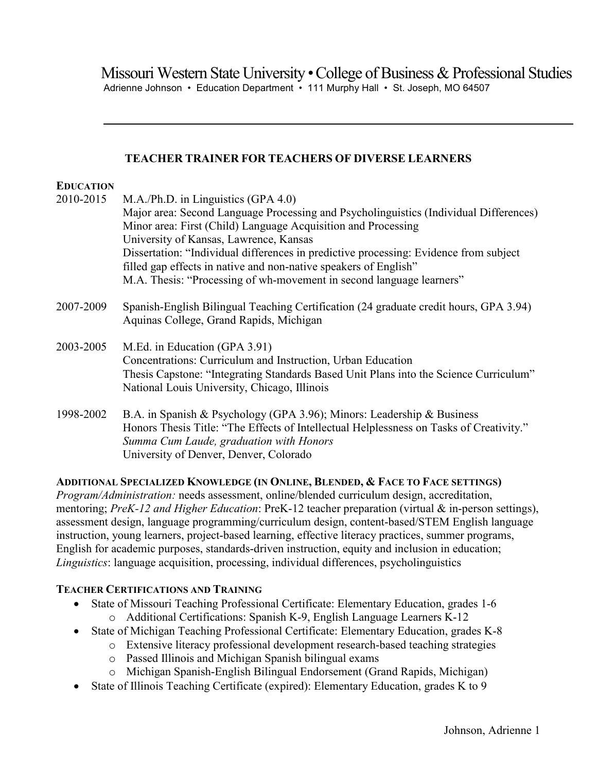Missouri Western State University • College of Business & Professional Studies Adrienne Johnson • Education Department • 111 Murphy Hall • St. Joseph, MO 64507

## **TEACHER TRAINER FOR TEACHERS OF DIVERSE LEARNERS**

### **EDUCATION**

| 2010-2015 | M.A./Ph.D. in Linguistics (GPA 4.0)                                                                                                                                                                                                   |
|-----------|---------------------------------------------------------------------------------------------------------------------------------------------------------------------------------------------------------------------------------------|
|           | Major area: Second Language Processing and Psycholinguistics (Individual Differences)                                                                                                                                                 |
|           | Minor area: First (Child) Language Acquisition and Processing                                                                                                                                                                         |
|           | University of Kansas, Lawrence, Kansas                                                                                                                                                                                                |
|           | Dissertation: "Individual differences in predictive processing: Evidence from subject                                                                                                                                                 |
|           | filled gap effects in native and non-native speakers of English"                                                                                                                                                                      |
|           | M.A. Thesis: "Processing of wh-movement in second language learners"                                                                                                                                                                  |
| 2007-2009 | Spanish-English Bilingual Teaching Certification (24 graduate credit hours, GPA 3.94)<br>Aquinas College, Grand Rapids, Michigan                                                                                                      |
| 2003-2005 | M.Ed. in Education (GPA 3.91)<br>Concentrations: Curriculum and Instruction, Urban Education<br>Thesis Capstone: "Integrating Standards Based Unit Plans into the Science Curriculum"<br>National Louis University, Chicago, Illinois |
| 1998-2002 | B.A. in Spanish & Psychology (GPA 3.96); Minors: Leadership & Business<br>Honors Thesis Title: "The Effects of Intellectual Helplessness on Tasks of Creativity."<br>Summa Cum Laude, graduation with Honors                          |

University of Denver, Denver, Colorado

# **ADDITIONAL SPECIALIZED KNOWLEDGE (IN ONLINE, BLENDED, & FACE TO FACE SETTINGS)**

*Program/Administration:* needs assessment, online/blended curriculum design, accreditation, mentoring; *PreK-12 and Higher Education*: PreK-12 teacher preparation (virtual & in-person settings), assessment design, language programming/curriculum design, content-based/STEM English language instruction, young learners, project-based learning, effective literacy practices, summer programs, English for academic purposes, standards-driven instruction, equity and inclusion in education; *Linguistics*: language acquisition, processing, individual differences, psycholinguistics

# **TEACHER CERTIFICATIONS AND TRAINING**

- State of Missouri Teaching Professional Certificate: Elementary Education, grades 1-6
	- o Additional Certifications: Spanish K-9, English Language Learners K-12
- State of Michigan Teaching Professional Certificate: Elementary Education, grades K-8
	- o Extensive literacy professional development research-based teaching strategies
	- o Passed Illinois and Michigan Spanish bilingual exams
	- o Michigan Spanish-English Bilingual Endorsement (Grand Rapids, Michigan)
- State of Illinois Teaching Certificate (expired): Elementary Education, grades K to 9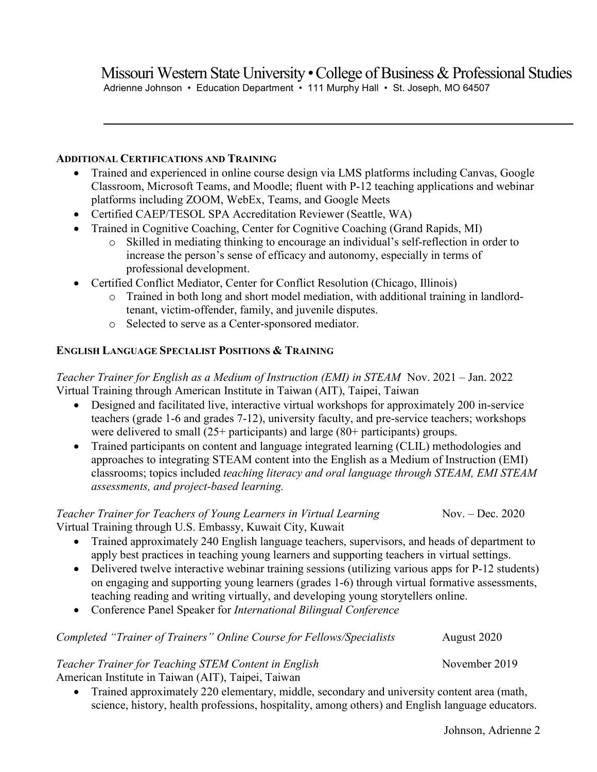# **ADDITIONAL CERTIFICATIONS AND TRAINING**

- Trained and experienced in online course design via LMS platforms including Canvas, Google Classroom, Microsoft Teams, and Moodle; fluent with P-12 teaching applications and webinar platforms including ZOOM, WebEx, Teams, and Google Meets
- Certified CAEP/TESOL SPA Accreditation Reviewer (Seattle, WA)
- Trained in Cognitive Coaching, Center for Cognitive Coaching (Grand Rapids, MI)
	- o Skilled in mediating thinking to encourage an individual's self-reflection in order to increase the person's sense of efficacy and autonomy, especially in terms of professional development.
- Certified Conflict Mediator, Center for Conflict Resolution (Chicago, Illinois)
	- o Trained in both long and short model mediation, with additional training in landlordtenant, victim-offender, family, and juvenile disputes.
	- o Selected to serve as a Center-sponsored mediator.

# **ENGLISH LANGUAGE SPECIALIST POSITIONS & TRAINING**

*Teacher Trainer for English as a Medium of Instruction (EMI) in STEAM* Nov. 2021 – Jan. 2022 Virtual Training through American Institute in Taiwan (AIT), Taipei, Taiwan

- Designed and facilitated live, interactive virtual workshops for approximately 200 in-service teachers (grade 1-6 and grades 7-12), university faculty, and pre-service teachers; workshops were delivered to small (25+ participants) and large (80+ participants) groups.
- Trained participants on content and language integrated learning (CLIL) methodologies and approaches to integrating STEAM content into the English as a Medium of Instruction (EMI) classrooms; topics included *teaching literacy and oral language through STEAM, EMI STEAM assessments, and project-based learning.*

*Teacher Trainer for Teachers of Young Learners in Virtual Learning* Nov. – Dec. 2020 Virtual Training through U.S. Embassy, Kuwait City, Kuwait

- Trained approximately 240 English language teachers, supervisors, and heads of department to apply best practices in teaching young learners and supporting teachers in virtual settings.
- Delivered twelve interactive webinar training sessions (utilizing various apps for P-12 students) on engaging and supporting young learners (grades 1-6) through virtual formative assessments, teaching reading and writing virtually, and developing young storytellers online.
- Conference Panel Speaker for *International Bilingual Conference*

*Completed "Trainer of Trainers" Online Course for Fellows/Specialists* August 2020

# *Teacher Trainer for Teaching STEM Content in English* November 2019

American Institute in Taiwan (AIT), Taipei, Taiwan

• Trained approximately 220 elementary, middle, secondary and university content area (math, science, history, health professions, hospitality, among others) and English language educators.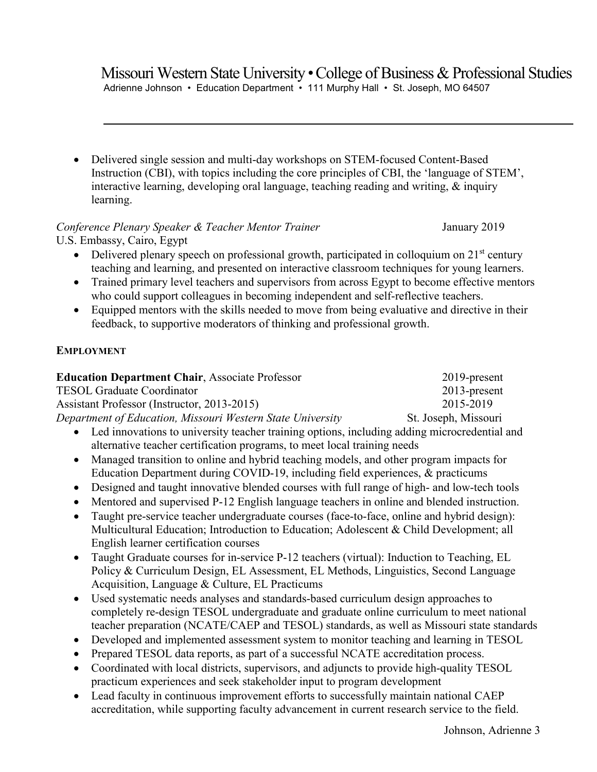Adrienne Johnson • Education Department • 111 Murphy Hall • St. Joseph, MO 64507

• Delivered single session and multi-day workshops on STEM-focused Content-Based Instruction (CBI), with topics including the core principles of CBI, the 'language of STEM', interactive learning, developing oral language, teaching reading and writing, & inquiry learning.

# *Conference Plenary Speaker & Teacher Mentor Trainer* January 2019 U.S. Embassy, Cairo, Egypt

• Delivered plenary speech on professional growth, participated in colloquium on  $21<sup>st</sup>$  century teaching and learning, and presented on interactive classroom techniques for young learners.

- Trained primary level teachers and supervisors from across Egypt to become effective mentors who could support colleagues in becoming independent and self-reflective teachers.
- Equipped mentors with the skills needed to move from being evaluative and directive in their feedback, to supportive moderators of thinking and professional growth.

# **EMPLOYMENT**

| <b>Education Department Chair, Associate Professor</b>     | $2019$ -present      |
|------------------------------------------------------------|----------------------|
| <b>TESOL Graduate Coordinator</b>                          | $2013$ -present      |
| Assistant Professor (Instructor, 2013-2015)                | 2015-2019            |
| Department of Education, Missouri Western State University | St. Joseph, Missouri |
|                                                            |                      |

- Led innovations to university teacher training options, including adding microcredential and alternative teacher certification programs, to meet local training needs
- Managed transition to online and hybrid teaching models, and other program impacts for Education Department during COVID-19, including field experiences, & practicums
- Designed and taught innovative blended courses with full range of high- and low-tech tools
- Mentored and supervised P-12 English language teachers in online and blended instruction.
- Taught pre-service teacher undergraduate courses (face-to-face, online and hybrid design): Multicultural Education; Introduction to Education; Adolescent & Child Development; all English learner certification courses
- Taught Graduate courses for in-service P-12 teachers (virtual): Induction to Teaching, EL Policy & Curriculum Design, EL Assessment, EL Methods, Linguistics, Second Language Acquisition, Language & Culture, EL Practicums
- Used systematic needs analyses and standards-based curriculum design approaches to completely re-design TESOL undergraduate and graduate online curriculum to meet national teacher preparation (NCATE/CAEP and TESOL) standards, as well as Missouri state standards
- Developed and implemented assessment system to monitor teaching and learning in TESOL
- Prepared TESOL data reports, as part of a successful NCATE accreditation process.
- Coordinated with local districts, supervisors, and adjuncts to provide high-quality TESOL practicum experiences and seek stakeholder input to program development
- Lead faculty in continuous improvement efforts to successfully maintain national CAEP accreditation, while supporting faculty advancement in current research service to the field.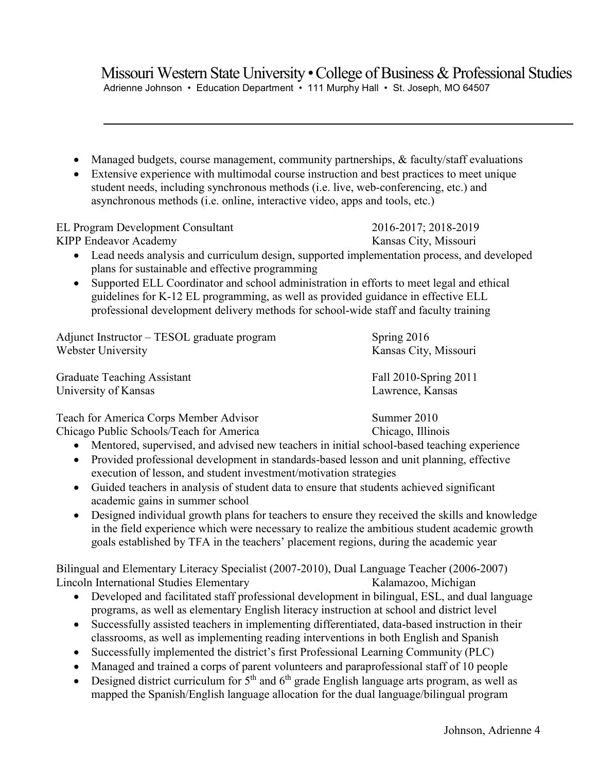Adrienne Johnson • Education Department • 111 Murphy Hall • St. Joseph, MO 64507

- Managed budgets, course management, community partnerships, & faculty/staff evaluations
- Extensive experience with multimodal course instruction and best practices to meet unique student needs, including synchronous methods (i.e. live, web-conferencing, etc.) and asynchronous methods (i.e. online, interactive video, apps and tools, etc.)

EL Program Development Consultant 2016-2017; 2018-2019

KIPP Endeavor Academy Kansas City, Missouri

- Lead needs analysis and curriculum design, supported implementation process, and developed plans for sustainable and effective programming
- Supported ELL Coordinator and school administration in efforts to meet legal and ethical guidelines for K-12 EL programming, as well as provided guidance in effective ELL professional development delivery methods for school-wide staff and faculty training

| Adjunct Instructor – TESOL graduate program | Spring 2016           |
|---------------------------------------------|-----------------------|
| Webster University                          | Kansas City, Missouri |
| <b>Graduate Teaching Assistant</b>          | Fall 2010-Spring 2011 |
| University of Kansas                        | Lawrence, Kansas      |

Teach for America Corps Member Advisor Summer 2010 Chicago Public Schools/Teach for America Chicago, Illinois

- Mentored, supervised, and advised new teachers in initial school-based teaching experience
- Provided professional development in standards-based lesson and unit planning, effective execution of lesson, and student investment/motivation strategies
- Guided teachers in analysis of student data to ensure that students achieved significant academic gains in summer school
- Designed individual growth plans for teachers to ensure they received the skills and knowledge in the field experience which were necessary to realize the ambitious student academic growth goals established by TFA in the teachers' placement regions, during the academic year

Bilingual and Elementary Literacy Specialist (2007-2010), Dual Language Teacher (2006-2007) Lincoln International Studies Elementary Kalamazoo, Michigan

- Developed and facilitated staff professional development in bilingual, ESL, and dual language programs, as well as elementary English literacy instruction at school and district level
- Successfully assisted teachers in implementing differentiated, data-based instruction in their classrooms, as well as implementing reading interventions in both English and Spanish
- Successfully implemented the district's first Professional Learning Community (PLC)
- Managed and trained a corps of parent volunteers and paraprofessional staff of 10 people
- Designed district curriculum for  $5<sup>th</sup>$  and  $6<sup>th</sup>$  grade English language arts program, as well as mapped the Spanish/English language allocation for the dual language/bilingual program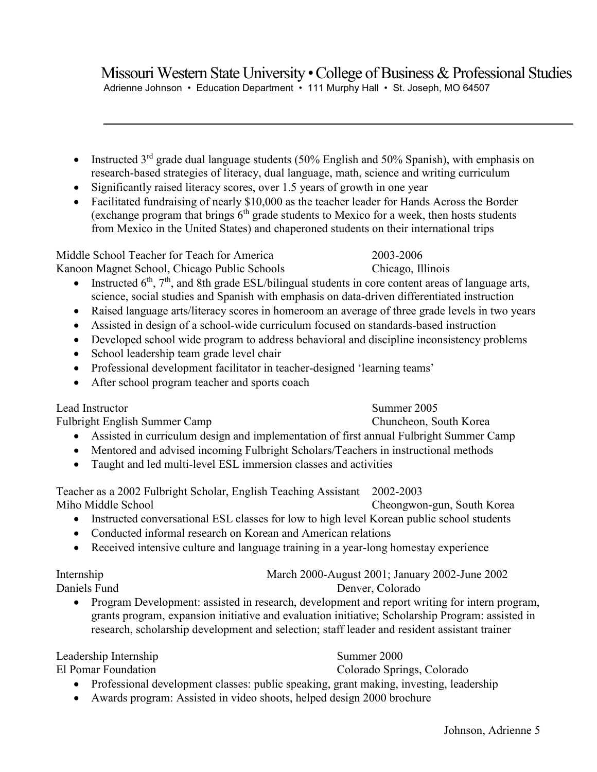Adrienne Johnson • Education Department • 111 Murphy Hall • St. Joseph, MO 64507

- Instructed  $3<sup>rd</sup>$  grade dual language students (50% English and 50% Spanish), with emphasis on research-based strategies of literacy, dual language, math, science and writing curriculum
- Significantly raised literacy scores, over 1.5 years of growth in one year
- Facilitated fundraising of nearly \$10,000 as the teacher leader for Hands Across the Border (exchange program that brings  $6<sup>th</sup>$  grade students to Mexico for a week, then hosts students from Mexico in the United States) and chaperoned students on their international trips

Middle School Teacher for Teach for America 2003-2006 Kanoon Magnet School, Chicago Public Schools Chicago, Illinois

- Instructed  $6<sup>th</sup>$ ,  $7<sup>th</sup>$ , and 8th grade ESL/bilingual students in core content areas of language arts, science, social studies and Spanish with emphasis on data-driven differentiated instruction
- Raised language arts/literacy scores in homeroom an average of three grade levels in two years
- Assisted in design of a school-wide curriculum focused on standards-based instruction
- Developed school wide program to address behavioral and discipline inconsistency problems
- School leadership team grade level chair
- Professional development facilitator in teacher-designed 'learning teams'
- After school program teacher and sports coach

Lead Instructor Summer 2005

- Assisted in curriculum design and implementation of first annual Fulbright Summer Camp
- Mentored and advised incoming Fulbright Scholars/Teachers in instructional methods
- Taught and led multi-level ESL immersion classes and activities

Teacher as a 2002 Fulbright Scholar, English Teaching Assistant 2002-2003 Miho Middle School Cheongwon-gun, South Korea

- Instructed conversational ESL classes for low to high level Korean public school students
- Conducted informal research on Korean and American relations
- Received intensive culture and language training in a year-long homestay experience

Internship March 2000-August 2001; January 2002-June 2002

Daniels Fund Denver, Colorado

• Program Development: assisted in research, development and report writing for intern program, grants program, expansion initiative and evaluation initiative; Scholarship Program: assisted in research, scholarship development and selection; staff leader and resident assistant trainer

Leadership Internship Summer 2000

El Pomar Foundation Colorado Springs, Colorado

- Professional development classes: public speaking, grant making, investing, leadership
- Awards program: Assisted in video shoots, helped design 2000 brochure

# Fulbright English Summer Camp Chuncheon, South Korea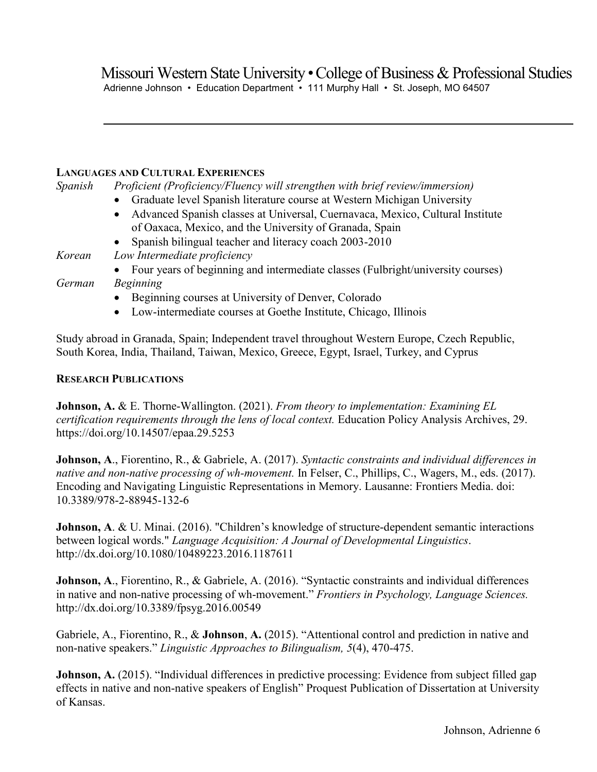## **LANGUAGES AND CULTURAL EXPERIENCES**

| Spanish | Proficient (Proficiency/Fluency will strengthen with brief review/immersion)               |
|---------|--------------------------------------------------------------------------------------------|
|         | Graduate level Spanish literature course at Western Michigan University                    |
|         | Advanced Spanish classes at Universal, Cuernavaca, Mexico, Cultural Institute<br>$\bullet$ |
|         | of Oaxaca, Mexico, and the University of Granada, Spain                                    |
|         | Spanish bilingual teacher and literacy coach 2003-2010<br>$\bullet$                        |
| Korean  | Low Intermediate proficiency                                                               |
|         | • Four years of beginning and intermediate classes (Fulbright/university courses)          |
| German  | <b>Beginning</b>                                                                           |
|         | Beginning courses at University of Denver, Colorado<br>$\bullet$                           |

• Low-intermediate courses at Goethe Institute, Chicago, Illinois

Study abroad in Granada, Spain; Independent travel throughout Western Europe, Czech Republic, South Korea, India, Thailand, Taiwan, Mexico, Greece, Egypt, Israel, Turkey, and Cyprus

### **RESEARCH PUBLICATIONS**

**Johnson, A.** & E. Thorne-Wallington. (2021). *From theory to implementation: Examining EL certification requirements through the lens of local context.* Education Policy Analysis Archives, 29. https://doi.org/10.14507/epaa.29.5253

**Johnson, A**., Fiorentino, R., & Gabriele, A. (2017). *Syntactic constraints and individual differences in native and non-native processing of wh-movement.* In Felser, C., Phillips, C., Wagers, M., eds. (2017). Encoding and Navigating Linguistic Representations in Memory. Lausanne: Frontiers Media. doi: 10.3389/978-2-88945-132-6

**Johnson, A**. & U. Minai. (2016). "Children's knowledge of structure-dependent semantic interactions between logical words." *Language Acquisition: A Journal of Developmental Linguistics*. http://dx.doi.org/10.1080/10489223.2016.1187611

**Johnson, A**., Fiorentino, R., & Gabriele, A. (2016). "Syntactic constraints and individual differences in native and non-native processing of wh-movement." *Frontiers in Psychology, Language Sciences.* http://dx.doi.org/10.3389/fpsyg.2016.00549

Gabriele, A., Fiorentino, R., & **Johnson**, **A.** (2015). "Attentional control and prediction in native and non-native speakers." *Linguistic Approaches to Bilingualism, 5*(4), 470-475.

**Johnson, A.** (2015). "Individual differences in predictive processing: Evidence from subject filled gap effects in native and non-native speakers of English" Proquest Publication of Dissertation at University of Kansas.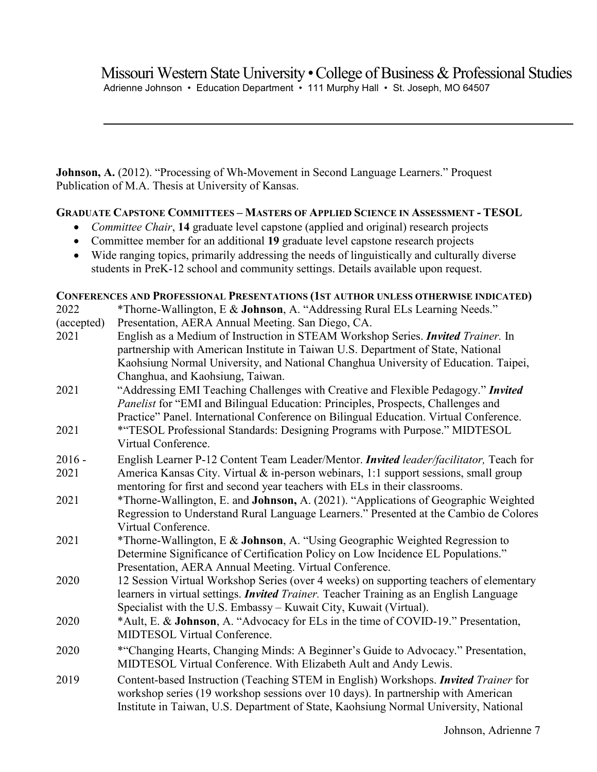**Johnson, A.** (2012). "Processing of Wh-Movement in Second Language Learners." Proquest Publication of M.A. Thesis at University of Kansas.

# **GRADUATE CAPSTONE COMMITTEES – MASTERS OF APPLIED SCIENCE IN ASSESSMENT - TESOL**

- *Committee Chair*, **14** graduate level capstone (applied and original) research projects
- Committee member for an additional **19** graduate level capstone research projects
- Wide ranging topics, primarily addressing the needs of linguistically and culturally diverse students in PreK-12 school and community settings. Details available upon request.

**CONFERENCES AND PROFESSIONAL PRESENTATIONS (1ST AUTHOR UNLESS OTHERWISE INDICATED)**

| 2022       | CONFERENCES AND I ROFESSIONAL I RESENTATIONS (151 AUTHOR UNLESS OTHERWISE INDICATED)<br>*Thorne-Wallington, E & Johnson, A. "Addressing Rural ELs Learning Needs." |
|------------|--------------------------------------------------------------------------------------------------------------------------------------------------------------------|
| (accepted) | Presentation, AERA Annual Meeting. San Diego, CA.                                                                                                                  |
| 2021       | English as a Medium of Instruction in STEAM Workshop Series. <i>Invited Trainer</i> . In                                                                           |
|            | partnership with American Institute in Taiwan U.S. Department of State, National                                                                                   |
|            | Kaohsiung Normal University, and National Changhua University of Education. Taipei,                                                                                |
|            | Changhua, and Kaohsiung, Taiwan.                                                                                                                                   |
| 2021       | "Addressing EMI Teaching Challenges with Creative and Flexible Pedagogy." Invited                                                                                  |
|            | Panelist for "EMI and Bilingual Education: Principles, Prospects, Challenges and                                                                                   |
|            | Practice" Panel. International Conference on Bilingual Education. Virtual Conference.                                                                              |
| 2021       | *"TESOL Professional Standards: Designing Programs with Purpose." MIDTESOL                                                                                         |
|            | Virtual Conference.                                                                                                                                                |
| $2016 -$   | English Learner P-12 Content Team Leader/Mentor. Invited leader/facilitator, Teach for                                                                             |
| 2021       | America Kansas City. Virtual & in-person webinars, 1:1 support sessions, small group                                                                               |
|            | mentoring for first and second year teachers with ELs in their classrooms.                                                                                         |
| 2021       | *Thorne-Wallington, E. and Johnson, A. (2021). "Applications of Geographic Weighted                                                                                |
|            | Regression to Understand Rural Language Learners." Presented at the Cambio de Colores                                                                              |
|            | Virtual Conference.                                                                                                                                                |
| 2021       | *Thorne-Wallington, E & Johnson, A. "Using Geographic Weighted Regression to                                                                                       |
|            | Determine Significance of Certification Policy on Low Incidence EL Populations."                                                                                   |
|            | Presentation, AERA Annual Meeting. Virtual Conference.                                                                                                             |
| 2020       | 12 Session Virtual Workshop Series (over 4 weeks) on supporting teachers of elementary                                                                             |
|            | learners in virtual settings. <i>Invited Trainer</i> . Teacher Training as an English Language                                                                     |
|            | Specialist with the U.S. Embassy – Kuwait City, Kuwait (Virtual).                                                                                                  |
| 2020       | *Ault, E. & Johnson, A. "Advocacy for ELs in the time of COVID-19." Presentation,                                                                                  |
|            | <b>MIDTESOL Virtual Conference.</b>                                                                                                                                |
| 2020       | *"Changing Hearts, Changing Minds: A Beginner's Guide to Advocacy." Presentation,                                                                                  |
|            | MIDTESOL Virtual Conference. With Elizabeth Ault and Andy Lewis.                                                                                                   |
| 2019       | Content-based Instruction (Teaching STEM in English) Workshops. Invited Trainer for                                                                                |
|            | workshop series (19 workshop sessions over 10 days). In partnership with American                                                                                  |
|            | Institute in Taiwan, U.S. Department of State, Kaohsiung Normal University, National                                                                               |
|            |                                                                                                                                                                    |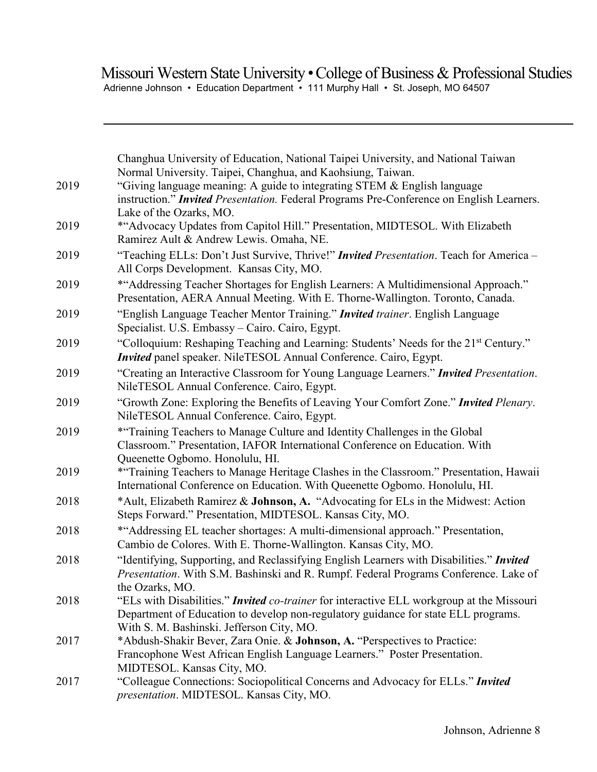Adrienne Johnson • Education Department • 111 Murphy Hall • St. Joseph, MO 64507

| 2019 | Changhua University of Education, National Taipei University, and National Taiwan<br>Normal University. Taipei, Changhua, and Kaohsiung, Taiwan.<br>"Giving language meaning: A guide to integrating STEM & English language        |
|------|-------------------------------------------------------------------------------------------------------------------------------------------------------------------------------------------------------------------------------------|
|      | instruction." Invited Presentation. Federal Programs Pre-Conference on English Learners.<br>Lake of the Ozarks, MO.                                                                                                                 |
| 2019 | *"Advocacy Updates from Capitol Hill." Presentation, MIDTESOL. With Elizabeth<br>Ramirez Ault & Andrew Lewis. Omaha, NE.                                                                                                            |
| 2019 | "Teaching ELLs: Don't Just Survive, Thrive!" <i>Invited Presentation</i> . Teach for America -<br>All Corps Development. Kansas City, MO.                                                                                           |
| 2019 | *"Addressing Teacher Shortages for English Learners: A Multidimensional Approach."<br>Presentation, AERA Annual Meeting. With E. Thorne-Wallington. Toronto, Canada.                                                                |
| 2019 | "English Language Teacher Mentor Training." Invited trainer. English Language<br>Specialist. U.S. Embassy – Cairo. Cairo, Egypt.                                                                                                    |
| 2019 | "Colloquium: Reshaping Teaching and Learning: Students' Needs for the 21 <sup>st</sup> Century."<br>Invited panel speaker. NileTESOL Annual Conference. Cairo, Egypt.                                                               |
| 2019 | "Creating an Interactive Classroom for Young Language Learners." Invited Presentation.<br>NileTESOL Annual Conference. Cairo, Egypt.                                                                                                |
| 2019 | "Growth Zone: Exploring the Benefits of Leaving Your Comfort Zone." Invited Plenary.<br>NileTESOL Annual Conference. Cairo, Egypt.                                                                                                  |
| 2019 | *"Training Teachers to Manage Culture and Identity Challenges in the Global<br>Classroom." Presentation, IAFOR International Conference on Education. With<br>Queenette Ogbomo. Honolulu, HI.                                       |
| 2019 | *"Training Teachers to Manage Heritage Clashes in the Classroom." Presentation, Hawaii<br>International Conference on Education. With Queenette Ogbomo. Honolulu, HI.                                                               |
| 2018 | *Ault, Elizabeth Ramirez & Johnson, A. "Advocating for ELs in the Midwest: Action<br>Steps Forward." Presentation, MIDTESOL. Kansas City, MO.                                                                                       |
| 2018 | *"Addressing EL teacher shortages: A multi-dimensional approach." Presentation,<br>Cambio de Colores. With E. Thorne-Wallington. Kansas City, MO.                                                                                   |
| 2018 | "Identifying, Supporting, and Reclassifying English Learners with Disabilities." Invited<br>Presentation. With S.M. Bashinski and R. Rumpf. Federal Programs Conference. Lake of<br>the Ozarks, MO.                                 |
| 2018 | "ELs with Disabilities." <i>Invited co-trainer</i> for interactive ELL workgroup at the Missouri<br>Department of Education to develop non-regulatory guidance for state ELL programs.<br>With S. M. Bashinski. Jefferson City, MO. |
| 2017 | *Abdush-Shakir Bever, Zara Onie. & Johnson, A. "Perspectives to Practice:<br>Francophone West African English Language Learners." Poster Presentation.<br>MIDTESOL. Kansas City, MO.                                                |
| 2017 | "Colleague Connections: Sociopolitical Concerns and Advocacy for ELLs." Invited<br>presentation. MIDTESOL. Kansas City, MO.                                                                                                         |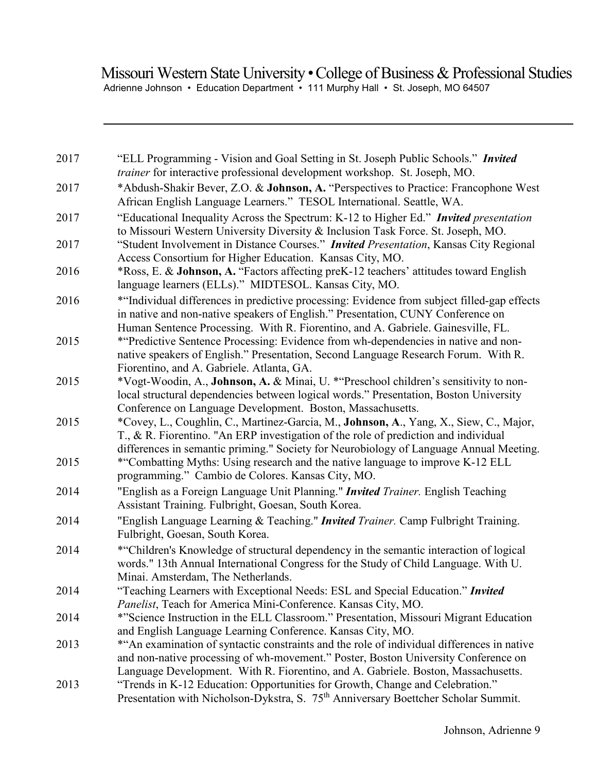# Missouri Western State University • College of Business & Professional Studies Adrienne Johnson • Education Department • 111 Murphy Hall • St. Joseph, MO 64507

| 2017 | "ELL Programming - Vision and Goal Setting in St. Joseph Public Schools." Invited<br>trainer for interactive professional development workshop. St. Joseph, MO.                                                                                                                                                                       |
|------|---------------------------------------------------------------------------------------------------------------------------------------------------------------------------------------------------------------------------------------------------------------------------------------------------------------------------------------|
| 2017 | *Abdush-Shakir Bever, Z.O. & Johnson, A. "Perspectives to Practice: Francophone West<br>African English Language Learners." TESOL International. Seattle, WA.                                                                                                                                                                         |
| 2017 | "Educational Inequality Across the Spectrum: K-12 to Higher Ed." <i>Invited presentation</i><br>to Missouri Western University Diversity & Inclusion Task Force. St. Joseph, MO.                                                                                                                                                      |
| 2017 | "Student Involvement in Distance Courses." <i>Invited Presentation</i> , Kansas City Regional<br>Access Consortium for Higher Education. Kansas City, MO.                                                                                                                                                                             |
| 2016 | *Ross, E. & Johnson, A. "Factors affecting preK-12 teachers' attitudes toward English<br>language learners (ELLs)." MIDTESOL. Kansas City, MO.                                                                                                                                                                                        |
| 2016 | *"Individual differences in predictive processing: Evidence from subject filled-gap effects<br>in native and non-native speakers of English." Presentation, CUNY Conference on<br>Human Sentence Processing. With R. Fiorentino, and A. Gabriele. Gainesville, FL.                                                                    |
| 2015 | *"Predictive Sentence Processing: Evidence from wh-dependencies in native and non-<br>native speakers of English." Presentation, Second Language Research Forum. With R.<br>Fiorentino, and A. Gabriele. Atlanta, GA.                                                                                                                 |
| 2015 | *Vogt-Woodin, A., Johnson, A. & Minai, U. * "Preschool children's sensitivity to non-<br>local structural dependencies between logical words." Presentation, Boston University                                                                                                                                                        |
| 2015 | Conference on Language Development. Boston, Massachusetts.<br>*Covey, L., Coughlin, C., Martinez-Garcia, M., Johnson, A., Yang, X., Siew, C., Major,<br>T., & R. Fiorentino. "An ERP investigation of the role of prediction and individual<br>differences in semantic priming." Society for Neurobiology of Language Annual Meeting. |
| 2015 | *"Combatting Myths: Using research and the native language to improve K-12 ELL<br>programming." Cambio de Colores. Kansas City, MO.                                                                                                                                                                                                   |
| 2014 | "English as a Foreign Language Unit Planning." <i>Invited Trainer</i> . English Teaching<br>Assistant Training. Fulbright, Goesan, South Korea.                                                                                                                                                                                       |
| 2014 | "English Language Learning & Teaching." Invited Trainer. Camp Fulbright Training.<br>Fulbright, Goesan, South Korea.                                                                                                                                                                                                                  |
| 2014 | *"Children's Knowledge of structural dependency in the semantic interaction of logical<br>words." 13th Annual International Congress for the Study of Child Language. With U.<br>Minai. Amsterdam, The Netherlands.                                                                                                                   |
| 2014 | "Teaching Learners with Exceptional Needs: ESL and Special Education." Invited<br>Panelist, Teach for America Mini-Conference. Kansas City, MO.                                                                                                                                                                                       |
| 2014 | *"Science Instruction in the ELL Classroom." Presentation, Missouri Migrant Education<br>and English Language Learning Conference. Kansas City, MO.                                                                                                                                                                                   |
| 2013 | *"An examination of syntactic constraints and the role of individual differences in native<br>and non-native processing of wh-movement." Poster, Boston University Conference on<br>Language Development. With R. Fiorentino, and A. Gabriele. Boston, Massachusetts.                                                                 |
| 2013 | "Trends in K-12 Education: Opportunities for Growth, Change and Celebration."<br>Presentation with Nicholson-Dykstra, S. 75 <sup>th</sup> Anniversary Boettcher Scholar Summit.                                                                                                                                                       |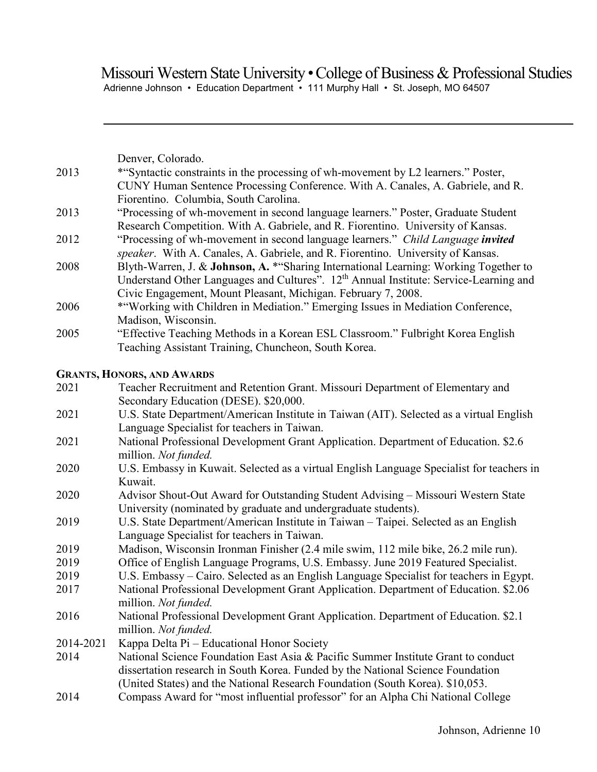Adrienne Johnson • Education Department • 111 Murphy Hall • St. Joseph, MO 64507

|           | Denver, Colorado.                                                                                           |
|-----------|-------------------------------------------------------------------------------------------------------------|
| 2013      | *"Syntactic constraints in the processing of wh-movement by L2 learners." Poster,                           |
|           | CUNY Human Sentence Processing Conference. With A. Canales, A. Gabriele, and R.                             |
|           | Fiorentino. Columbia, South Carolina.                                                                       |
| 2013      | "Processing of wh-movement in second language learners." Poster, Graduate Student                           |
|           | Research Competition. With A. Gabriele, and R. Fiorentino. University of Kansas.                            |
| 2012      | "Processing of wh-movement in second language learners." Child Language invited                             |
|           | speaker. With A. Canales, A. Gabriele, and R. Fiorentino. University of Kansas.                             |
| 2008      | Blyth-Warren, J. & Johnson, A. * "Sharing International Learning: Working Together to                       |
|           | Understand Other Languages and Cultures". 12 <sup>th</sup> Annual Institute: Service-Learning and           |
|           | Civic Engagement, Mount Pleasant, Michigan. February 7, 2008.                                               |
| 2006      | * "Working with Children in Mediation." Emerging Issues in Mediation Conference,                            |
|           | Madison, Wisconsin.                                                                                         |
| 2005      | "Effective Teaching Methods in a Korean ESL Classroom." Fulbright Korea English                             |
|           | Teaching Assistant Training, Chuncheon, South Korea.                                                        |
|           | <b>GRANTS, HONORS, AND AWARDS</b>                                                                           |
| 2021      | Teacher Recruitment and Retention Grant. Missouri Department of Elementary and                              |
|           | Secondary Education (DESE). \$20,000.                                                                       |
| 2021      | U.S. State Department/American Institute in Taiwan (AIT). Selected as a virtual English                     |
|           | Language Specialist for teachers in Taiwan.                                                                 |
| 2021      | National Professional Development Grant Application. Department of Education. \$2.6                         |
|           | million. Not funded.                                                                                        |
| 2020      | U.S. Embassy in Kuwait. Selected as a virtual English Language Specialist for teachers in                   |
|           | Kuwait.                                                                                                     |
| 2020      | Advisor Shout-Out Award for Outstanding Student Advising - Missouri Western State                           |
|           | University (nominated by graduate and undergraduate students).                                              |
| 2019      | U.S. State Department/American Institute in Taiwan - Taipei. Selected as an English                         |
|           | Language Specialist for teachers in Taiwan.                                                                 |
| 2019      | Madison, Wisconsin Ironman Finisher (2.4 mile swim, 112 mile bike, 26.2 mile run).                          |
| 2019      | Office of English Language Programs, U.S. Embassy. June 2019 Featured Specialist.                           |
| 2019      | U.S. Embassy – Cairo. Selected as an English Language Specialist for teachers in Egypt.                     |
| 2017      | National Professional Development Grant Application. Department of Education. \$2.06                        |
|           | million. Not funded.                                                                                        |
| 2016      | National Professional Development Grant Application. Department of Education. \$2.1<br>million. Not funded. |
| 2014-2021 | Kappa Delta Pi – Educational Honor Society                                                                  |
| 2014      | National Science Foundation East Asia & Pacific Summer Institute Grant to conduct                           |
|           | dissertation research in South Korea. Funded by the National Science Foundation                             |
|           | (United States) and the National Research Foundation (South Korea). \$10,053.                               |
| 2014      | Compass Award for "most influential professor" for an Alpha Chi National College                            |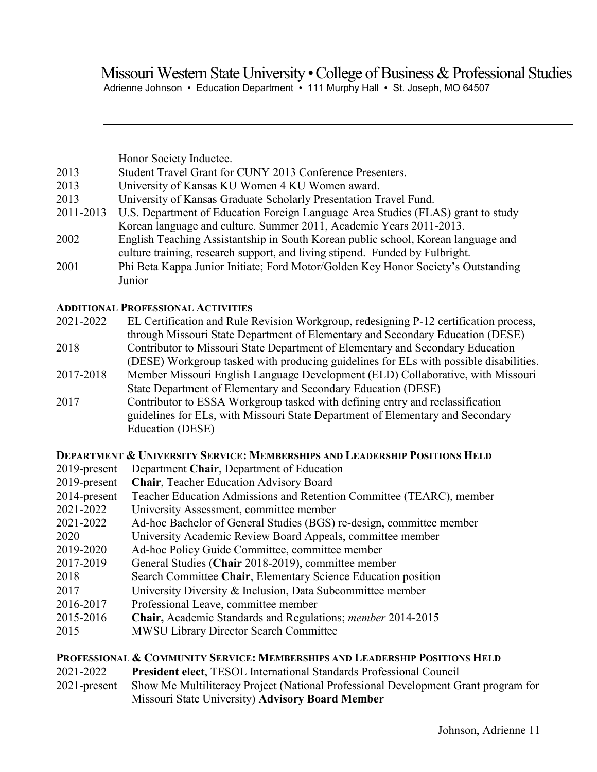# Missouri Western State University • College of Business & Professional Studies Adrienne Johnson • Education Department • 111 Murphy Hall • St. Joseph, MO 64507

|           | Honor Society Inductee.                                                           |
|-----------|-----------------------------------------------------------------------------------|
| 2013      | Student Travel Grant for CUNY 2013 Conference Presenters.                         |
| 2013      | University of Kansas KU Women 4 KU Women award.                                   |
| 2013      | University of Kansas Graduate Scholarly Presentation Travel Fund.                 |
| 2011-2013 | U.S. Department of Education Foreign Language Area Studies (FLAS) grant to study  |
|           | Korean language and culture. Summer 2011, Academic Years 2011-2013.               |
| 2002      | English Teaching Assistantship in South Korean public school, Korean language and |
|           | culture training, research support, and living stipend. Funded by Fulbright.      |
| 2001      | Phi Beta Kappa Junior Initiate; Ford Motor/Golden Key Honor Society's Outstanding |
|           | Junior                                                                            |

## **ADDITIONAL PROFESSIONAL ACTIVITIES**

| 2021-2022 | EL Certification and Rule Revision Workgroup, redesigning P-12 certification process, |
|-----------|---------------------------------------------------------------------------------------|
|           | through Missouri State Department of Elementary and Secondary Education (DESE)        |
| 2018      | Contributor to Missouri State Department of Elementary and Secondary Education        |
|           | (DESE) Workgroup tasked with producing guidelines for ELs with possible disabilities. |
| 2017-2018 | Member Missouri English Language Development (ELD) Collaborative, with Missouri       |
|           | State Department of Elementary and Secondary Education (DESE)                         |
| 2017      | Contributor to ESSA Workgroup tasked with defining entry and reclassification         |
|           | guidelines for ELs, with Missouri State Department of Elementary and Secondary        |
|           | Education (DESE)                                                                      |

# **DEPARTMENT & UNIVERSITY SERVICE: MEMBERSHIPS AND LEADERSHIP POSITIONS HELD**

| 2019-present | Department Chair, Department of Education                            |
|--------------|----------------------------------------------------------------------|
| 2019-present | <b>Chair, Teacher Education Advisory Board</b>                       |
| 2014-present | Teacher Education Admissions and Retention Committee (TEARC), member |
| 2021-2022    | University Assessment, committee member                              |
| 2021-2022    | Ad-hoc Bachelor of General Studies (BGS) re-design, committee member |
| 2020         | University Academic Review Board Appeals, committee member           |
| 2019-2020    | Ad-hoc Policy Guide Committee, committee member                      |
| 2017-2019    | General Studies (Chair 2018-2019), committee member                  |
| 2018         | Search Committee Chair, Elementary Science Education position        |
| 2017         | University Diversity & Inclusion, Data Subcommittee member           |
| 2016-2017    | Professional Leave, committee member                                 |
| 2015-2016    | Chair, Academic Standards and Regulations; member 2014-2015          |
| 2015         | <b>MWSU Library Director Search Committee</b>                        |

### **PROFESSIONAL & COMMUNITY SERVICE: MEMBERSHIPS AND LEADERSHIP POSITIONS HELD**

- 2021-2022 **President elect**, TESOL International Standards Professional Council
- 2021-present Show Me Multiliteracy Project (National Professional Development Grant program for Missouri State University) **Advisory Board Member**